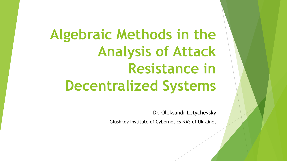**Algebraic Methods in the Analysis of Attack Resistance in Decentralized Systems**

Dr. Oleksandr Letychevsky

Glushkov Institute of Cybernetics NAS of Ukraine,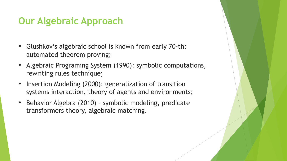#### **Our Algebraic Approach**

- Glushkov's algebraic school is known from early 70-th: automated theorem proving;
- Algebraic Programing System (1990): symbolic computations, rewriting rules technique;
- Insertion Modeling (2000): generalization of transition systems interaction, theory of agents and environments;
- Behavior Algebra (2010) symbolic modeling, predicate transformers theory, algebraic matching.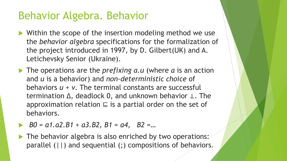#### Behavior Algebra. Behavior

- $\blacktriangleright$  Within the scope of the insertion modeling method we use the *behavior algebra* specifications for the formalization of the project introduced in 1997, by D. Gilbert(UK) and A. Letichevsky Senior (Ukraine).
- ▶ The operations are the *prefixing a.u* (where *a* is an action and *u* is a behavior) and *non-deterministic choice* of behaviors *u + v*. The terminal constants are successful termination ∆, deadlock 0, and unknown behavior ⊥. The approximation relation  $\subseteq$  is a partial order on the set of behaviors.
- u *B0 = a1.a2.B1 + a3.B2, B1 = a4, B2 =…*
- $\blacktriangleright$  The behavior algebra is also enriched by two operations: parallel (||) and sequential (;) compositions of behaviors.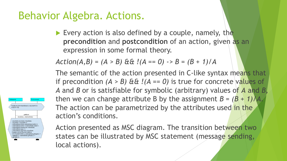#### Behavior Algebra. Actions.

Forall(i:int) (0<i<tiemSlote & v.b(i).dref>0 &

getBlock timeSlote, v.b/timeSlote v.b(i).fref(v.b(i).frefs):=timeSlote v.b(i).frefs:=v.b(i).frefs+1: v.b(fimeSlote).href(v.b(fimeSlote).hrefs):= v.b(timeSlote).brefs:=v.b(timeSlote).brefs+1; v hítimeSlote) timeArriver=timeSlot hítimeSlote) sinn:=1 h/fimeSlote) cinnTime:= orall(k.l) (0<k<VALIDATORS & I<VALIDATORS) (v.b(timeSlote).gNeg(k,l) :=  $g(k|)$  v hítimeSlote) gPosík  $k =$ 

Every action is also defined by a couple, namely, the **precondition** and **postcondition** of an action, given as an expression in some formal theory.

 $Action(A, B) = (A > B) \& \& !(A == 0) \rightarrow B = (B + 1)/A$ 

The semantic of the action presented in C-like syntax means that if precondition  $(A > B)$   $\& \& I(A == 0)$  is true for concrete values of *A* and *B* or is satisfiable for symbolic (arbitrary) values of *A* and *B*, then we can change attribute B by the assignment  $B = (B + 1)/A$ . The action can be parametrized by the attributes used in the action's conditions.

Action presented as MSC diagram. The transition between two states can be illustrated by MSC statement (message sending, local actions).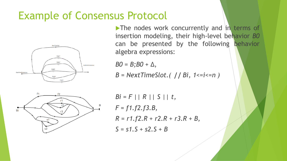#### Example of Consensus Protocol



 $\blacktriangleright$  The nodes work concurrently and in terms of insertion modeling, their high-level behavior *B0* can be presented by the following behavior algebra expressions:

 $BO = B$ ; $BO + \Delta$ ,

*B = NextTimeSlot.(* **||** *Bi, 1<=i<=n )*



*Bi = F || R || S || t, F = f1.f2.f3.B, R = r1.f2.R + r2.R + r3.R + B, S = s1.S + s2.S + B*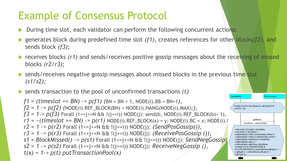### Example of Consensus Protocol

- During time slot, each validator can perform the following concurrent actions:
- ▶ generates block during predefined time slot *(f1)*, creates references for other blocks*(f2)*, and sends block *(f3)*;
- receives blocks (r1) and sends/receives positive gossip messages about the receiving of missed blocks *(r2/r3)*;

Environmen

Forall(i:int) (0<i<tiemSlote & v.b(i).dref>0 &

v.b(i).fref(v.b(i).frefs):=timeSlote; v.b(i).frefs:=v.b(i).frefs+1;

v.b(timeSlote).signTime:=timeSlote Forall(k,l) (0<k<VALIDATORS &

v.b(timeSlote).sign:=1:

(.gPos(k,l)

getBlock

v.b(timeSlote).bref(v.b(timeSlote).brefs):=i; v.b(timeSlote).brefs:=v.b(timeSlote).brefs+1; v.b(timeSlote).timeArriver:=timeSlote;

0<l<VALIDATORS) (v.b(timeSlote).gNeg(k,l) := v.gNeg(k,l); v.b(timeSlote).gPos(k,l) :=

lidator#v

 $v.b(i).B > 0)$ 

- $\blacktriangleright$  sends/receives negative gossip messages about missed blocks in the previous time slot *(s1/s2);*
- $\blacktriangleright$  sends transaction to the pool of unconfirmed transactions  $(t)$

*f1 = (timeslot == BN) -> p(f1) (*BN = BN + 1, NODE(i).BB = BN+1*),*  $f2 = 1 \rightarrow p(f2)$  (NODE(i).REF\_BLOCK(BN) = NODE(i).HANG(NODE(i).MAX);*)*, *f3* = 1->  $p(f3)$  Forall (1<=j<=N && !(j==i)) NODE(j): send(b, NODE(i).REF\_BLOCK(b)> 1),  $r1 = \sim(timeslot == BN) \rightarrow p(r1)$  NODE(i).REF\_BLOCK(x) = y; NODE(i).BC = x; NODE(i).| *r2 = 1 -> p(r2)* Forall (1<=j<=N && !(j==i)) NODE(j): *(SendPosGossip()), r3 = 1 -> p(r3)* Forall (1<=j<=N && !(j==i)) NODE(j): *(ReceivePosGossip ()), s1 = BlockMissed() -> p(s1)* Forall (1<=j<=N && !(j==i)) NODE(j): *SendNegGossip(), s2 = 1 -> p(s2)* Forall (1<=j<=N && !(j==i)) NODE(j): *ReceiveNegGossip (), t(x) = 1-> p(t) putTransactionPool(x)*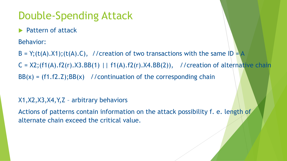### Double-Spending Attack

Pattern of attack

Behavior:

 $B = Y$ ;(t(A).X1);(t(A).C), //creation of two transactions with the same ID = A

 $C = X2$ ;  $(f1(A).f2(r).X3.BB(1) | f1(A).f2(r).X4.BB(2)),$  //creation of alternative chain

 $BB(x) = (f1.f2.Z); BB(x)$  //continuation of the corresponding chain

#### X1,X2,X3,X4,Y,Z – arbitrary behaviors

Actions of patterns contain information on the attack possibility f. e. length of alternate chain exceed the critical value.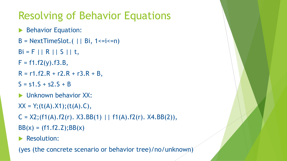## Resolving of Behavior Equations

- **Behavior Equation:**
- $B = NextTimeSlot.$  | | Bi,  $1 \le i \le n$ )
- $Bi = F || R || S || t,$
- $F = f1.f2(y).f3.B,$
- $R = r1.f2.R + r2.R + r3.R + B,$
- $S = s1.S + s2.S + B$
- $\blacktriangleright$  Unknown behavior XX:
- $XX = Y$ ; (t(A).X1); (t(A).C),
- C =  $X2$ ; (f1(A).f2(r).  $X3.BB(1)$  | | f1(A).f2(r).  $X4.BB(2)$ ),
- $BB(x) = (f1.f2.Z); BB(x)$
- Resolution:

(yes (the concrete scenario or behavior tree)/no/unknown)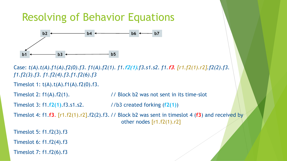#### Resolving of Behavior Equations



Case: *t(A).t(A).f1(A).f2(0).f3. f1(A).f2(1). f1.***f2(1)***.f3.s1.s2. f1.***f3***. [r1.f2(1).r2].f2(2).f3. f1.f2(3).f3. f1.f2(4).f3.f1.f2(6).f3*

```
Timeslot 1: t(A).t(A).f1(A).f2(0).f3.
```
Timeslot 2:  $f1(A).f2(1)$ . // Block b2 was not sent in its time-slot

Timeslot 3: f1.**f2(1)**.f3.s1.s2. //b3 created forking (**f2(1)**)

```
Timeslot 4: f1.f3. [r1.f2(1).r2].f2(2).f3. // Block b2 was sent in timeslot 4 (f3) and received by 
                                              other nodes [r1.f2(1).r2]
```
Timeslot 5: f1.f2(3).f3

Timeslot 6: f1.f2(4).f3

Timeslot 7: f1.f2(6).f3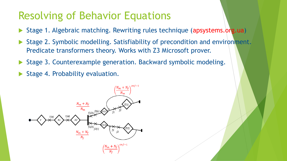#### Resolving of Behavior Equations

- Stage 1. Algebraic matching. Rewriting rules technique (apsystems.org.ua)
- Stage 2. Symbolic modelling. Satisfiability of precondition and environment. Predicate transformers theory. Works with Z3 Microsoft prover.
- Stage 3. Counterexample generation. Backward symbolic modeling.
- Stage 4. Probability evaluation.

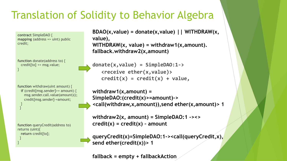### Translation of Solidity to Behavior Algebra

**contract** SimpleDAO { **mapping** (address => uint) public credit;

**function** donate(address to) { credit[to] += msg.value; }

**function** withdraw(uint amount) { **if** (credit[msg.sender]>= amount) { msg.sender.call.value(amount)(); credit[msg.sender]-=amount; }

**function** queryCredit(address to) returns (uint){ **return** credit[to]; }

}

}

```
BDAO(x,value) = donate(x,value) || WITHDRAW(x, 
value),
WITHDRAW(x, value) = withdraw1(x,amount). 
fallback.withdraw2(x,amount)
```

```
donate(x,value) = SimpleDAO:1->
   <receive ether(x,value)>
   credit(x) = credit(x) + value,
```

```
withdraw1(x,amount) = 
SimpleDAO:(credit(x)>=amount)-> 
<call(withdraw,x,amount)),send ether(x,amount)> 1
```

```
withdraw2(x, amount) = SimpleDAO:1 -><> 
credit(x) = credit(x) – amount
```
**queryCredit(x)=SimpleDAO:1-><call(queryCredit,x), send ether(credit(x))> 1**

**fallback = empty + fallbackAction**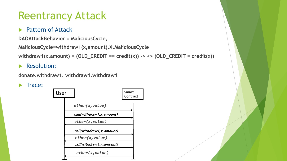#### Reentrancy Attack

#### Pattern of Attack

```
DAOAttackBehavior = MaliciousCycle,
```

```
MaliciousCycle=withdraw1(x,amount).X.MaliciousCycle
```

```
withdraw1(x,amount) = \text{(OLD\_CREDIT == credit(x)) -> <> (OLD\_CREDIT = credit(x))}
```
#### **Resolution:**

```
donate.withdraw1. withdraw1.withdraw1
```


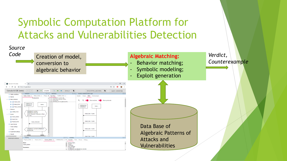### Symbolic Computation Platform for Attacks and Vulnerabilities Detection

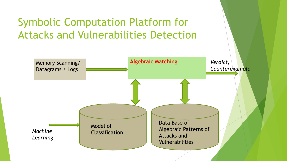### Symbolic Computation Platform for Attacks and Vulnerabilities Detection